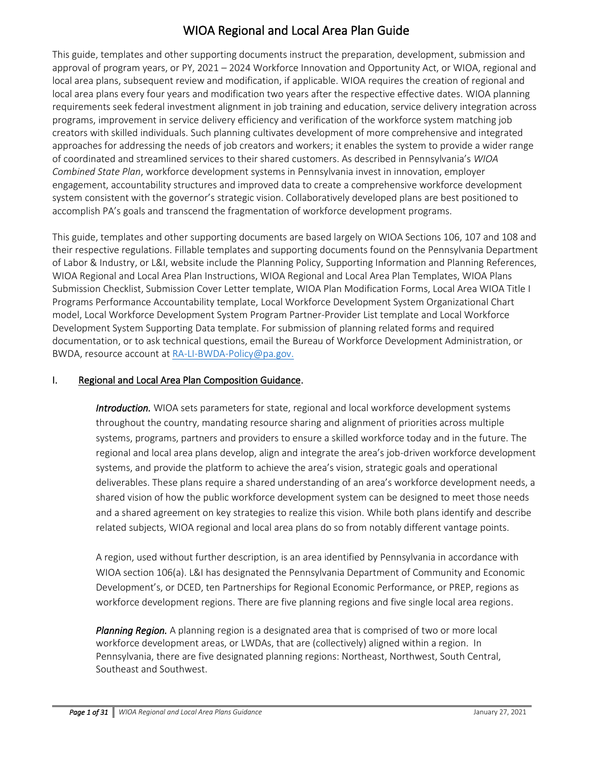# WIOA Regional and Local Area Plan Guide

This guide, templates and other supporting documents instruct the preparation, development, submission and approval of program years, or PY, 2021 – 2024 Workforce Innovation and Opportunity Act, or WIOA, regional and local area plans, subsequent review and modification, if applicable. WIOA requires the creation of regional and local area plans every four years and modification two years after the respective effective dates. WIOA planning requirements seek federal investment alignment in job training and education, service delivery integration across programs, improvement in service delivery efficiency and verification of the workforce system matching job creators with skilled individuals. Such planning cultivates development of more comprehensive and integrated approaches for addressing the needs of job creators and workers; it enables the system to provide a wider range of coordinated and streamlined services to their shared customers. As described in Pennsylvania's *WIOA Combined State Plan*, workforce development systems in Pennsylvania invest in innovation, employer engagement, accountability structures and improved data to create a comprehensive workforce development system consistent with the governor's strategic vision. Collaboratively developed plans are best positioned to accomplish PA's goals and transcend the fragmentation of workforce development programs.

This guide, templates and other supporting documents are based largely on WIOA Sections 106, 107 and 108 and their respective regulations. Fillable templates and supporting documents found on the Pennsylvania Department of Labor & Industry, or L&I, website include the Planning Policy, Supporting Information and Planning References, WIOA Regional and Local Area Plan Instructions, WIOA Regional and Local Area Plan Templates, WIOA Plans Submission Checklist, Submission Cover Letter template, WIOA Plan Modification Forms, Local Area WIOA Title I Programs Performance Accountability template, Local Workforce Development System Organizational Chart model, Local Workforce Development System Program Partner-Provider List template and Local Workforce Development System Supporting Data template. For submission of planning related forms and required documentation, or to ask technical questions, email the Bureau of Workforce Development Administration, or BWDA, resource account at [RA-LI-BWDA-Policy@pa.gov.](mailto:RA-LI-BWDA-Policy@pa.gov)

## I. Regional and Local Area Plan Composition Guidance.

*Introduction.* WIOA sets parameters for state, regional and local workforce development systems throughout the country, mandating resource sharing and alignment of priorities across multiple systems, programs, partners and providers to ensure a skilled workforce today and in the future. The regional and local area plans develop, align and integrate the area's job-driven workforce development systems, and provide the platform to achieve the area's vision, strategic goals and operational deliverables. These plans require a shared understanding of an area's workforce development needs, a shared vision of how the public workforce development system can be designed to meet those needs and a shared agreement on key strategies to realize this vision. While both plans identify and describe related subjects, WIOA regional and local area plans do so from notably different vantage points.

A region, used without further description, is an area identified by Pennsylvania in accordance with WIOA section 106(a). L&I has designated the Pennsylvania Department of Community and Economic Development's, or DCED, ten Partnerships for Regional Economic Performance, or PREP, regions as workforce development regions. There are five planning regions and five single local area regions.

*Planning Region.* A planning region is a designated area that is comprised of two or more local workforce development areas, or LWDAs, that are (collectively) aligned within a region. In Pennsylvania, there are five designated planning regions: Northeast, Northwest, South Central, Southeast and Southwest.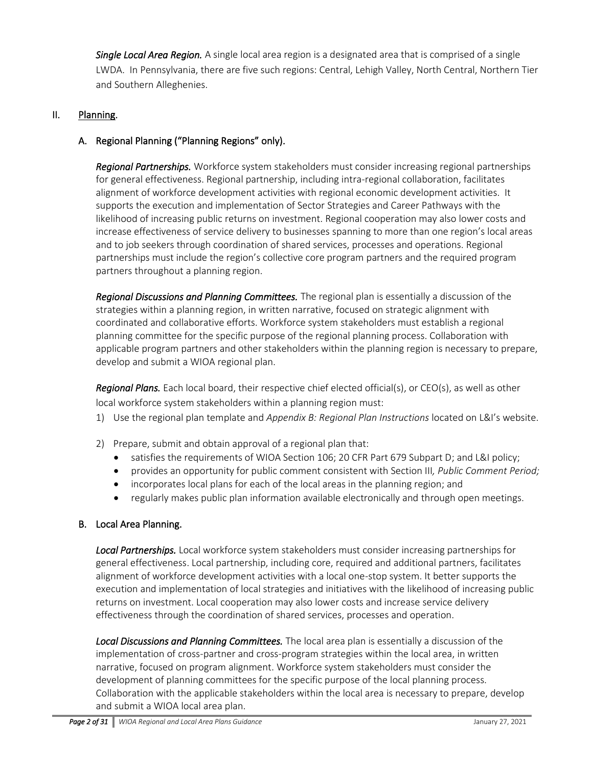*Single Local Area Region.* A single local area region is a designated area that is comprised of a single LWDA. In Pennsylvania, there are five such regions: Central, Lehigh Valley, North Central, Northern Tier and Southern Alleghenies.

## II. Planning.

## A. Regional Planning ("Planning Regions" only).

*Regional Partnerships.* Workforce system stakeholders must consider increasing regional partnerships for general effectiveness. Regional partnership, including intra-regional collaboration, facilitates alignment of workforce development activities with regional economic development activities. It supports the execution and implementation of Sector Strategies and Career Pathways with the likelihood of increasing public returns on investment. Regional cooperation may also lower costs and increase effectiveness of service delivery to businesses spanning to more than one region's local areas and to job seekers through coordination of shared services, processes and operations. Regional partnerships must include the region's collective core program partners and the required program partners throughout a planning region.

*Regional Discussions and Planning Committees.* The regional plan is essentially a discussion of the strategies within a planning region, in written narrative, focused on strategic alignment with coordinated and collaborative efforts. Workforce system stakeholders must establish a regional planning committee for the specific purpose of the regional planning process. Collaboration with applicable program partners and other stakeholders within the planning region is necessary to prepare, develop and submit a WIOA regional plan.

*Regional Plans.* Each local board, their respective chief elected official(s), or CEO(s), as well as other local workforce system stakeholders within a planning region must:

- 1) Use the regional plan template and *Appendix B: Regional Plan Instructions* located on L&I's website.
- 2) Prepare, submit and obtain approval of a regional plan that:
	- satisfies the requirements of WIOA Section 106; 20 CFR Part 679 Subpart D; and L&I policy;
	- provides an opportunity for public comment consistent with Section III*, Public Comment Period;*
	- incorporates local plans for each of the local areas in the planning region; and
	- regularly makes public plan information available electronically and through open meetings.

#### B. Local Area Planning.

*Local Partnerships.* Local workforce system stakeholders must consider increasing partnerships for general effectiveness. Local partnership, including core, required and additional partners, facilitates alignment of workforce development activities with a local one-stop system. It better supports the execution and implementation of local strategies and initiatives with the likelihood of increasing public returns on investment. Local cooperation may also lower costs and increase service delivery effectiveness through the coordination of shared services, processes and operation.

*Local Discussions and Planning Committees.* The local area plan is essentially a discussion of the implementation of cross-partner and cross-program strategies within the local area, in written narrative, focused on program alignment. Workforce system stakeholders must consider the development of planning committees for the specific purpose of the local planning process. Collaboration with the applicable stakeholders within the local area is necessary to prepare, develop and submit a WIOA local area plan.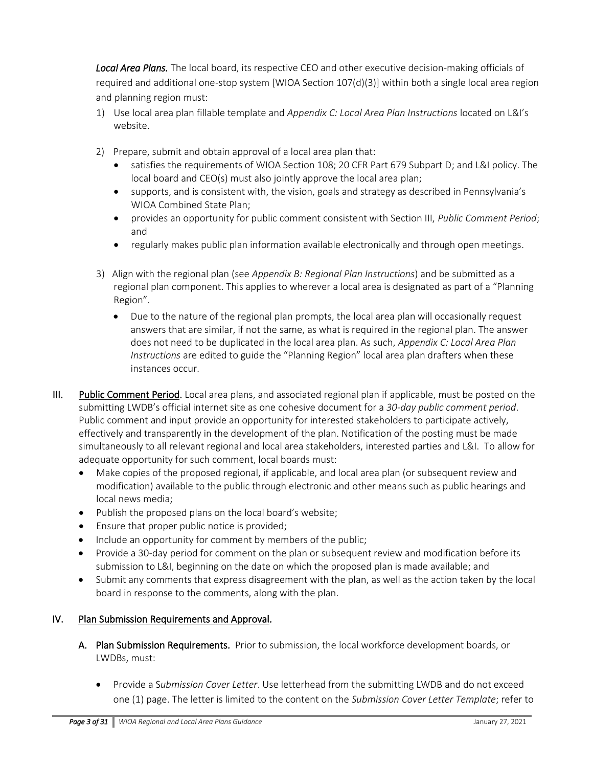*Local Area Plans.* The local board, its respective CEO and other executive decision-making officials of required and additional one-stop system [WIOA Section 107(d)(3)] within both a single local area region and planning region must:

- 1) Use local area plan fillable template and *Appendix C: Local Area Plan Instructions* located on L&I's website.
- 2) Prepare, submit and obtain approval of a local area plan that:
	- satisfies the requirements of WIOA Section 108; 20 CFR Part 679 Subpart D; and L&I policy. The local board and CEO(s) must also jointly approve the local area plan;
	- supports, and is consistent with, the vision, goals and strategy as described in Pennsylvania's WIOA Combined State Plan;
	- provides an opportunity for public comment consistent with Section III, *Public Comment Period*; and
	- regularly makes public plan information available electronically and through open meetings.
- 3) Align with the regional plan (see *Appendix B: Regional Plan Instructions*) and be submitted as a regional plan component. This applies to wherever a local area is designated as part of a "Planning Region".
	- Due to the nature of the regional plan prompts, the local area plan will occasionally request answers that are similar, if not the same, as what is required in the regional plan. The answer does not need to be duplicated in the local area plan. As such, *Appendix C: Local Area Plan Instructions* are edited to guide the "Planning Region" local area plan drafters when these instances occur.
- III. Public Comment Period. Local area plans, and associated regional plan if applicable, must be posted on the submitting LWDB's official internet site as one cohesive document for a *30-day public comment period*. Public comment and input provide an opportunity for interested stakeholders to participate actively, effectively and transparently in the development of the plan. Notification of the posting must be made simultaneously to all relevant regional and local area stakeholders, interested parties and L&I. To allow for adequate opportunity for such comment, local boards must:
	- Make copies of the proposed regional, if applicable, and local area plan (or subsequent review and modification) available to the public through electronic and other means such as public hearings and local news media;
	- Publish the proposed plans on the local board's website;
	- Ensure that proper public notice is provided;
	- Include an opportunity for comment by members of the public;
	- Provide a 30-day period for comment on the plan or subsequent review and modification before its submission to L&I, beginning on the date on which the proposed plan is made available; and
	- Submit any comments that express disagreement with the plan, as well as the action taken by the local board in response to the comments, along with the plan.

#### IV. Plan Submission Requirements and Approval.

- A. Plan Submission Requirements. Prior to submission, the local workforce development boards, or LWDBs, must:
	- Provide a S*ubmission Cover Letter*. Use letterhead from the submitting LWDB and do not exceed one (1) page. The letter is limited to the content on the *Submission Cover Letter Template*; refer to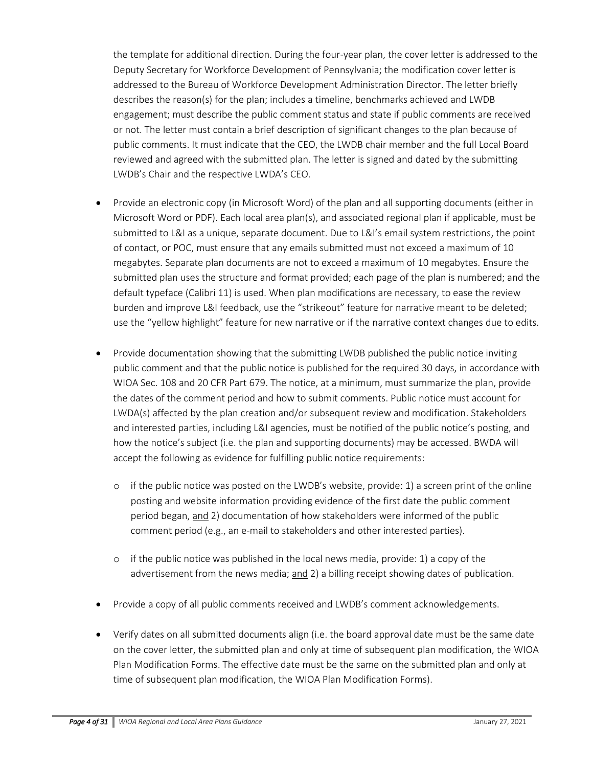the template for additional direction. During the four-year plan, the cover letter is addressed to the Deputy Secretary for Workforce Development of Pennsylvania; the modification cover letter is addressed to the Bureau of Workforce Development Administration Director. The letter briefly describes the reason(s) for the plan; includes a timeline, benchmarks achieved and LWDB engagement; must describe the public comment status and state if public comments are received or not. The letter must contain a brief description of significant changes to the plan because of public comments. It must indicate that the CEO, the LWDB chair member and the full Local Board reviewed and agreed with the submitted plan. The letter is signed and dated by the submitting LWDB's Chair and the respective LWDA's CEO.

- Provide an electronic copy (in Microsoft Word) of the plan and all supporting documents (either in Microsoft Word or PDF). Each local area plan(s), and associated regional plan if applicable, must be submitted to L&I as a unique, separate document. Due to L&I's email system restrictions, the point of contact, or POC, must ensure that any emails submitted must not exceed a maximum of 10 megabytes. Separate plan documents are not to exceed a maximum of 10 megabytes. Ensure the submitted plan uses the structure and format provided; each page of the plan is numbered; and the default typeface (Calibri 11) is used. When plan modifications are necessary, to ease the review burden and improve L&I feedback, use the "strikeout" feature for narrative meant to be deleted; use the "yellow highlight" feature for new narrative or if the narrative context changes due to edits.
- Provide documentation showing that the submitting LWDB published the public notice inviting public comment and that the public notice is published for the required 30 days, in accordance with WIOA Sec. 108 and 20 CFR Part 679. The notice, at a minimum, must summarize the plan, provide the dates of the comment period and how to submit comments. Public notice must account for LWDA(s) affected by the plan creation and/or subsequent review and modification. Stakeholders and interested parties, including L&I agencies, must be notified of the public notice's posting, and how the notice's subject (i.e. the plan and supporting documents) may be accessed. BWDA will accept the following as evidence for fulfilling public notice requirements:
	- $\circ$  if the public notice was posted on the LWDB's website, provide: 1) a screen print of the online posting and website information providing evidence of the first date the public comment period began, and 2) documentation of how stakeholders were informed of the public comment period (e.g., an e-mail to stakeholders and other interested parties).
	- $\circ$  if the public notice was published in the local news media, provide: 1) a copy of the advertisement from the news media; and 2) a billing receipt showing dates of publication.
- Provide a copy of all public comments received and LWDB's comment acknowledgements.
- Verify dates on all submitted documents align (i.e. the board approval date must be the same date on the cover letter, the submitted plan and only at time of subsequent plan modification, the WIOA Plan Modification Forms. The effective date must be the same on the submitted plan and only at time of subsequent plan modification, the WIOA Plan Modification Forms).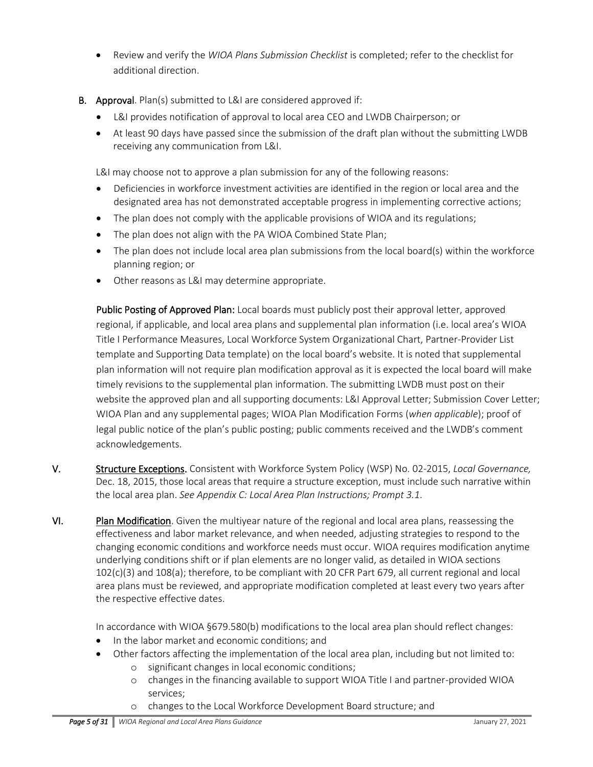- Review and verify the *WIOA Plans Submission Checklist* is completed; refer to the checklist for additional direction.
- **B.** Approval. Plan(s) submitted to L&I are considered approved if:
	- L&I provides notification of approval to local area CEO and LWDB Chairperson; or
	- At least 90 days have passed since the submission of the draft plan without the submitting LWDB receiving any communication from L&I.

L&I may choose not to approve a plan submission for any of the following reasons:

- Deficiencies in workforce investment activities are identified in the region or local area and the designated area has not demonstrated acceptable progress in implementing corrective actions;
- The plan does not comply with the applicable provisions of WIOA and its regulations;
- The plan does not align with the PA WIOA Combined State Plan;
- The plan does not include local area plan submissions from the local board(s) within the workforce planning region; or
- Other reasons as L&I may determine appropriate.

Public Posting of Approved Plan: Local boards must publicly post their approval letter, approved regional, if applicable, and local area plans and supplemental plan information (i.e. local area's WIOA Title I Performance Measures, Local Workforce System Organizational Chart, Partner-Provider List template and Supporting Data template) on the local board's website. It is noted that supplemental plan information will not require plan modification approval as it is expected the local board will make timely revisions to the supplemental plan information. The submitting LWDB must post on their website the approved plan and all supporting documents: L&I Approval Letter; Submission Cover Letter; WIOA Plan and any supplemental pages; WIOA Plan Modification Forms (*when applicable*); proof of legal public notice of the plan's public posting; public comments received and the LWDB's comment acknowledgements.

- V. Structure Exceptions. Consistent with Workforce System Policy (WSP) No. 02-2015, *Local Governance,*  Dec. 18, 2015, those local areas that require a structure exception, must include such narrative within the local area plan. *See Appendix C: Local Area Plan Instructions; Prompt 3.1*.
- VI. Plan Modification. Given the multiyear nature of the regional and local area plans, reassessing the effectiveness and labor market relevance, and when needed, adjusting strategies to respond to the changing economic conditions and workforce needs must occur. WIOA requires modification anytime underlying conditions shift or if plan elements are no longer valid, as detailed in WIOA sections 102(c)(3) and 108(a); therefore, to be compliant with 20 CFR Part 679, all current regional and local area plans must be reviewed, and appropriate modification completed at least every two years after the respective effective dates.

In accordance with WIOA §679.580(b) modifications to the local area plan should reflect changes:

- In the labor market and economic conditions; and
- Other factors affecting the implementation of the local area plan, including but not limited to: o significant changes in local economic conditions;
	- o changes in the financing available to support WIOA Title I and partner-provided WIOA services;
	- o changes to the Local Workforce Development Board structure; and